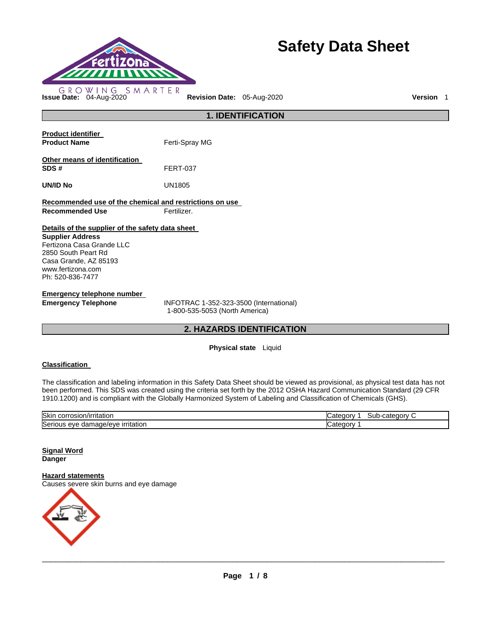

# **Safety Data Sheet**

**1. IDENTIFICATION Product identifier Product Name Ferti-Spray MG Other means of identification SDS #** FERT-037 **UN/ID No** UN1805 **Recommended use of the chemical and restrictions on use Recommended Use <b>Fertilizer. Details of the supplier of the safety data sheet Supplier Address** Fertizona Casa Grande LLC 2850 South Peart Rd Casa Grande, AZ 85193 www.fertizona.com Ph: 520-836-7477 **Emergency telephone number Emergency Telephone** INFOTRAC 1-352-323-3500 (International) 1-800-535-5053 (North America)

**2. HAZARDS IDENTIFICATION** 

**Physical state** Liquid

# **Classification**

The classification and labeling information in this Safety Data Sheet should be viewed as provisional, as physical test data has not been performed. This SDS was created using the criteria set forth by the 2012 OSHA Hazard Communication Standard (29 CFR 1910.1200) and is compliant with the Globally Harmonized System of Labeling and Classification of Chemicals (GHS).

| <b>Skin</b><br>.<br>osior<br>rntation<br>JOHT.<br>            | eaor<br>cate<br>aor<br>ouu |
|---------------------------------------------------------------|----------------------------|
| Seri<br>made/eve.<br>ritatior<br>$\cdots$<br>eve<br>1С<br>uam | п<br>п.                    |

#### **Signal Word Danger**

# **Hazard statements**

Causes severe skin burns and eye damage

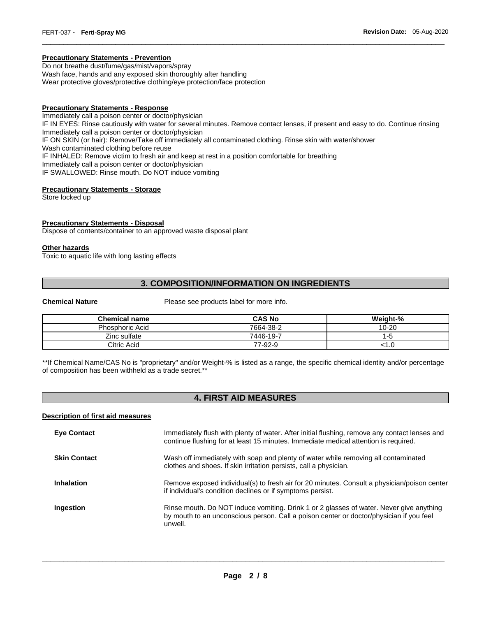# **Precautionary Statements - Prevention**

Do not breathe dust/fume/gas/mist/vapors/spray Wash face, hands and any exposed skin thoroughly after handling Wear protective gloves/protective clothing/eye protection/face protection

#### **Precautionary Statements - Response**

Immediately call a poison center or doctor/physician IF IN EYES: Rinse cautiously with water for several minutes. Remove contact lenses, if present and easy to do. Continue rinsing Immediately call a poison center or doctor/physician IF ON SKIN (or hair): Remove/Take off immediately all contaminated clothing. Rinse skin with water/shower Wash contaminated clothing before reuse IF INHALED: Remove victim to fresh air and keep at rest in a position comfortable for breathing Immediately call a poison center or doctor/physician IF SWALLOWED: Rinse mouth. Do NOT induce vomiting

\_\_\_\_\_\_\_\_\_\_\_\_\_\_\_\_\_\_\_\_\_\_\_\_\_\_\_\_\_\_\_\_\_\_\_\_\_\_\_\_\_\_\_\_\_\_\_\_\_\_\_\_\_\_\_\_\_\_\_\_\_\_\_\_\_\_\_\_\_\_\_\_\_\_\_\_\_\_\_\_\_\_\_\_\_\_\_\_\_\_\_\_\_

# **Precautionary Statements - Storage**

Store locked up

# **Precautionary Statements - Disposal**

Dispose of contents/container to an approved waste disposal plant

#### **Other hazards**

Toxic to aquatic life with long lasting effects

# **3. COMPOSITION/INFORMATION ON INGREDIENTS**

**Chemical Nature Please see products label for more info.** 

| <b>Chemical name</b>   | <b>CAS No</b> | Weight-%  |
|------------------------|---------------|-----------|
| <b>Phosphoric Acid</b> | 7664-38-2     | $10 - 20$ |
| Zinc sulfate           | 7446-19-7     | -5        |
| Citric Acid            | 77-92-9       | 1.U       |

\*\*If Chemical Name/CAS No is "proprietary" and/or Weight-% is listed as a range, the specific chemical identity and/or percentage of composition has been withheld as a trade secret.\*\*

# **4. FIRST AID MEASURES**

# **Description of first aid measures**

| <b>Eye Contact</b>  | Immediately flush with plenty of water. After initial flushing, remove any contact lenses and<br>continue flushing for at least 15 minutes. Immediate medical attention is required.          |
|---------------------|-----------------------------------------------------------------------------------------------------------------------------------------------------------------------------------------------|
| <b>Skin Contact</b> | Wash off immediately with soap and plenty of water while removing all contaminated<br>clothes and shoes. If skin irritation persists, call a physician.                                       |
| Inhalation          | Remove exposed individual(s) to fresh air for 20 minutes. Consult a physician/poison center<br>if individual's condition declines or if symptoms persist.                                     |
| Ingestion           | Rinse mouth. Do NOT induce vomiting. Drink 1 or 2 glasses of water. Never give anything<br>by mouth to an unconscious person. Call a poison center or doctor/physician if you feel<br>unwell. |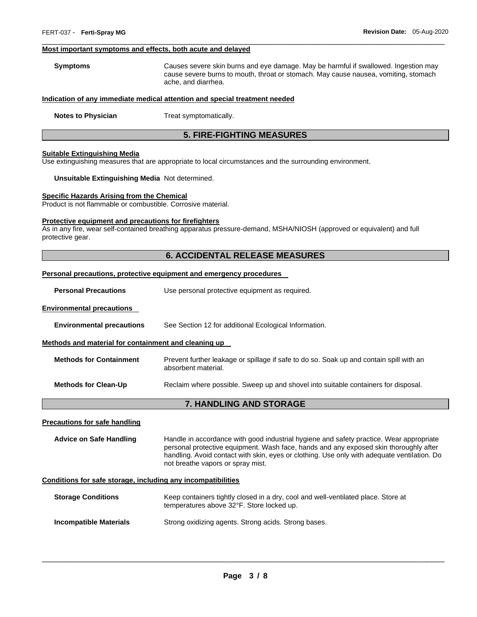#### **Most important symptoms and effects, both acute and delayed**

**Symptoms** Causes severe skin burns and eye damage. May be harmful if swallowed. Ingestion may cause severe burns to mouth, throat or stomach. May cause nausea, vomiting, stomach ache, and diarrhea.

\_\_\_\_\_\_\_\_\_\_\_\_\_\_\_\_\_\_\_\_\_\_\_\_\_\_\_\_\_\_\_\_\_\_\_\_\_\_\_\_\_\_\_\_\_\_\_\_\_\_\_\_\_\_\_\_\_\_\_\_\_\_\_\_\_\_\_\_\_\_\_\_\_\_\_\_\_\_\_\_\_\_\_\_\_\_\_\_\_\_\_\_\_

#### **Indication of any immediate medical attention and special treatment needed**

**Notes to Physician**  Treat symptomatically.

# **5. FIRE-FIGHTING MEASURES**

#### **Suitable Extinguishing Media**

Use extinguishing measures that are appropriate to local circumstances and the surrounding environment.

#### **Unsuitable Extinguishing Media** Not determined.

# **Specific Hazards Arising from the Chemical**

Product is not flammable or combustible. Corrosive material.

#### **Protective equipment and precautions for firefighters**

As in any fire, wear self-contained breathing apparatus pressure-demand, MSHA/NIOSH (approved or equivalent) and full protective gear.

# **6. ACCIDENTAL RELEASE MEASURES**

# **Personal precautions, protective equipment and emergency procedures**

| <b>Personal Precautions</b> | Use personal protective equipment as required. |
|-----------------------------|------------------------------------------------|
|-----------------------------|------------------------------------------------|

#### **Environmental precautions**

**Environmental precautions** See Section 12 for additional Ecological Information.

#### **Methods and material for containment and cleaning up**

| <b>Methods for Containment</b> | Prevent further leakage or spillage if safe to do so. Soak up and contain spill with an<br>absorbent material. |
|--------------------------------|----------------------------------------------------------------------------------------------------------------|
| <b>Methods for Clean-Up</b>    | Reclaim where possible. Sweep up and shovel into suitable containers for disposal.                             |

# **7. HANDLING AND STORAGE**

#### **Precautions for safe handling**

**Advice on Safe Handling** Handle in accordance with good industrial hygiene and safety practice. Wear appropriate personal protective equipment. Wash face, hands and any exposed skin thoroughly after handling. Avoid contact with skin, eyes or clothing. Use only with adequate ventilation. Do not breathe vapors or spray mist.

# **Conditions for safe storage, including any incompatibilities**

| <b>Storage Conditions</b> | Keep containers tightly closed in a dry, cool and well-ventilated place. Store at |
|---------------------------|-----------------------------------------------------------------------------------|
|                           | temperatures above 32°F. Store locked up.                                         |
|                           |                                                                                   |

**Incompatible Materials Strong oxidizing agents. Strong acids. Strong bases.**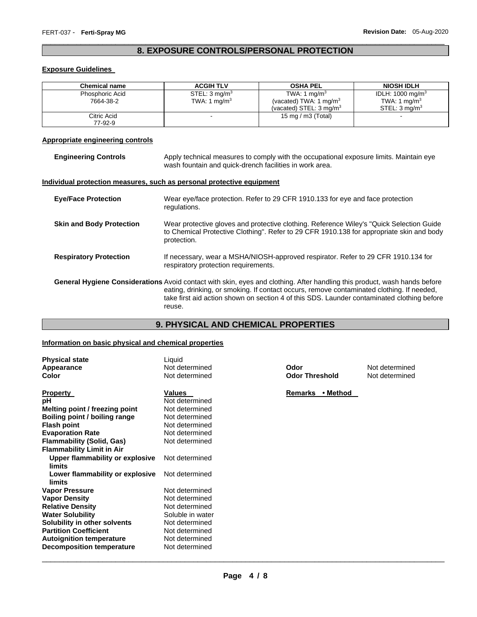# \_\_\_\_\_\_\_\_\_\_\_\_\_\_\_\_\_\_\_\_\_\_\_\_\_\_\_\_\_\_\_\_\_\_\_\_\_\_\_\_\_\_\_\_\_\_\_\_\_\_\_\_\_\_\_\_\_\_\_\_\_\_\_\_\_\_\_\_\_\_\_\_\_\_\_\_\_\_\_\_\_\_\_\_\_\_\_\_\_\_\_\_\_ **8. EXPOSURE CONTROLS/PERSONAL PROTECTION**

# **Exposure Guidelines**

| <b>Chemical name</b> | <b>ACGIH TLV</b>         | <b>OSHA PEL</b>                    | <b>NIOSH IDLH</b>            |
|----------------------|--------------------------|------------------------------------|------------------------------|
| Phosphoric Acid      | STEL: $3 \text{ mg/m}^3$ | TWA: 1 mg/m <sup>3</sup>           | IDLH: 1000 mg/m <sup>3</sup> |
| 7664-38-2            | TWA: 1 $mq/m3$           | (vacated) TWA: 1 mg/m <sup>3</sup> | TWA: 1 mg/m <sup>3</sup>     |
|                      |                          | (vacated) STEL: $3 \text{ mg/m}^3$ | STEL: $3 \text{ ma/m}^3$     |
| Citric Acid          |                          | 15 mg / m $3$ (Total)              |                              |
| 77-92-9              |                          |                                    |                              |

# **Appropriate engineering controls**

| <b>Engineering Controls</b>     | Apply technical measures to comply with the occupational exposure limits. Maintain eye<br>wash fountain and quick-drench facilities in work area.                                                                                                                                                                              |
|---------------------------------|--------------------------------------------------------------------------------------------------------------------------------------------------------------------------------------------------------------------------------------------------------------------------------------------------------------------------------|
|                                 | Individual protection measures, such as personal protective equipment                                                                                                                                                                                                                                                          |
| <b>Eye/Face Protection</b>      | Wear eye/face protection. Refer to 29 CFR 1910.133 for eye and face protection<br>regulations.                                                                                                                                                                                                                                 |
| <b>Skin and Body Protection</b> | Wear protective gloves and protective clothing. Reference Wiley's "Quick Selection Guide"<br>to Chemical Protective Clothing". Refer to 29 CFR 1910.138 for appropriate skin and body<br>protection.                                                                                                                           |
| <b>Respiratory Protection</b>   | If necessary, wear a MSHA/NIOSH-approved respirator. Refer to 29 CFR 1910.134 for<br>respiratory protection requirements.                                                                                                                                                                                                      |
|                                 | General Hygiene Considerations Avoid contact with skin, eyes and clothing. After handling this product, wash hands before<br>eating, drinking, or smoking. If contact occurs, remove contaminated clothing. If needed,<br>take first aid action shown on section 4 of this SDS. Launder contaminated clothing before<br>reuse. |

# **9. PHYSICAL AND CHEMICAL PROPERTIES**

# **Information on basic physical and chemical properties**

| <b>Physical state</b>                     | Liquid           |                            |                |
|-------------------------------------------|------------------|----------------------------|----------------|
| Appearance                                | Not determined   | Odor                       | Not determined |
| <b>Color</b>                              | Not determined   | <b>Odor Threshold</b>      | Not determined |
| <b>Property</b>                           | Values           | • Method<br><b>Remarks</b> |                |
| рH                                        | Not determined   |                            |                |
| Melting point / freezing point            | Not determined   |                            |                |
| Boiling point / boiling range             | Not determined   |                            |                |
| <b>Flash point</b>                        | Not determined   |                            |                |
| <b>Evaporation Rate</b>                   | Not determined   |                            |                |
| <b>Flammability (Solid, Gas)</b>          | Not determined   |                            |                |
| <b>Flammability Limit in Air</b>          |                  |                            |                |
| Upper flammability or explosive<br>limits | Not determined   |                            |                |
| Lower flammability or explosive<br>limits | Not determined   |                            |                |
| <b>Vapor Pressure</b>                     | Not determined   |                            |                |
| <b>Vapor Density</b>                      | Not determined   |                            |                |
| <b>Relative Density</b>                   | Not determined   |                            |                |
| <b>Water Solubility</b>                   | Soluble in water |                            |                |
| Solubility in other solvents              | Not determined   |                            |                |
| <b>Partition Coefficient</b>              | Not determined   |                            |                |
| <b>Autoignition temperature</b>           | Not determined   |                            |                |
| <b>Decomposition temperature</b>          | Not determined   |                            |                |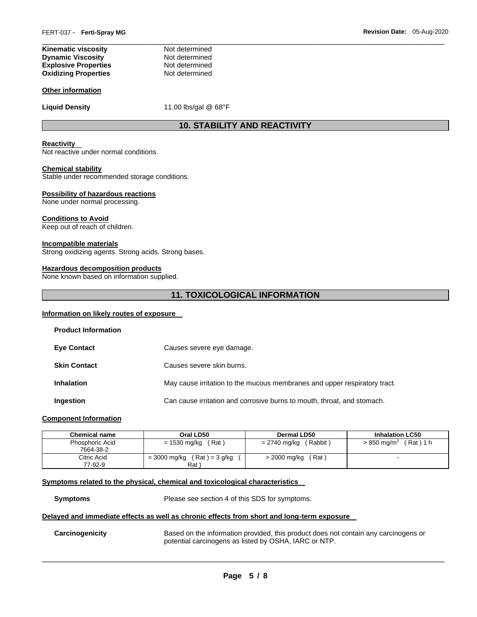| Not determined |
|----------------|
| Not determined |
| Not determined |
| Not determined |
|                |

#### **Other information**

Liquid Density **11.00 lbs/gal @ 68°F** 

# **10. STABILITY AND REACTIVITY**

\_\_\_\_\_\_\_\_\_\_\_\_\_\_\_\_\_\_\_\_\_\_\_\_\_\_\_\_\_\_\_\_\_\_\_\_\_\_\_\_\_\_\_\_\_\_\_\_\_\_\_\_\_\_\_\_\_\_\_\_\_\_\_\_\_\_\_\_\_\_\_\_\_\_\_\_\_\_\_\_\_\_\_\_\_\_\_\_\_\_\_\_\_

#### **Reactivity**

Not reactive under normal conditions.

# **Chemical stability**

Stable under recommended storage conditions.

#### **Possibility of hazardous reactions**

None under normal processing.

#### **Conditions to Avoid**

Keep out of reach of children.

#### **Incompatible materials**

Strong oxidizing agents. Strong acids. Strong bases.

#### **Hazardous decomposition products**

None known based on information supplied.

# **11. TOXICOLOGICAL INFORMATION**

# **Information on likely routes of exposure**

| Causes severe eye damage.                                                 |
|---------------------------------------------------------------------------|
| Causes severe skin burns.                                                 |
| May cause irritation to the mucous membranes and upper respiratory tract. |
| Can cause irritation and corrosive burns to mouth, throat, and stomach.   |
|                                                                           |

# **Component Information**

| <b>Chemical name</b>                | Oral LD50                               | Dermal LD50              | <b>Inhalation LC50</b>                 |
|-------------------------------------|-----------------------------------------|--------------------------|----------------------------------------|
| <b>Phosphoric Acid</b><br>7664-38-2 | (Rat)<br>= 1530 mg/kg                   | (Rabbit)<br>= 2740 mg/kg | $(Rat)$ 1 h<br>$>850 \; \text{mq/m}^3$ |
| Citric Acid<br>77-92-9              | $(Rat) = 3 g/kg$<br>= 3000 mg/kg<br>Rat | (Rat<br>> 2000 mg/kg     | -                                      |

# **Symptoms related to the physical, chemical and toxicological characteristics**

**Symptoms** Please see section 4 of this SDS for symptoms.

#### **Delayed and immediate effects as well as chronic effects from short and long-term exposure**

**Carcinogenicity** Based on the information provided, this product does not contain any carcinogens or potential carcinogens as listed by OSHA, IARC or NTP.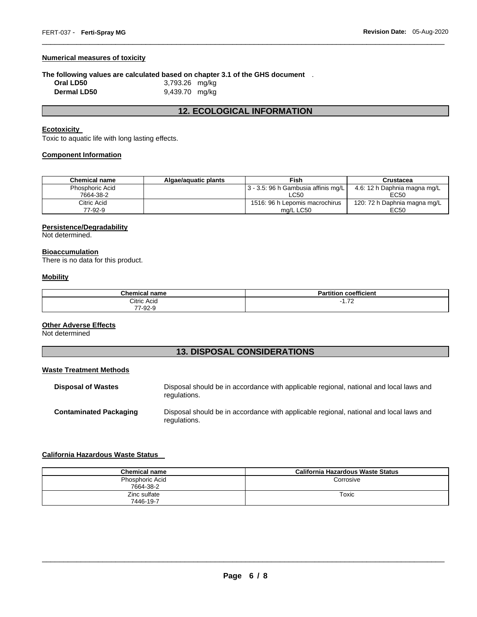# **Numerical measures of toxicity**

#### **The following values are calculated based on chapter 3.1 of the GHS document** .

| Oral LD50          | 3,793.26 mg/kg |
|--------------------|----------------|
| <b>Dermal LD50</b> | 9,439.70 mg/kg |

# **12. ECOLOGICAL INFORMATION**

\_\_\_\_\_\_\_\_\_\_\_\_\_\_\_\_\_\_\_\_\_\_\_\_\_\_\_\_\_\_\_\_\_\_\_\_\_\_\_\_\_\_\_\_\_\_\_\_\_\_\_\_\_\_\_\_\_\_\_\_\_\_\_\_\_\_\_\_\_\_\_\_\_\_\_\_\_\_\_\_\_\_\_\_\_\_\_\_\_\_\_\_\_

# **Ecotoxicity**

Toxic to aquatic life with long lasting effects.

# **Component Information**

| <b>Chemical name</b> | Algae/aguatic plants | Fish                                        | Crustacea                    |
|----------------------|----------------------|---------------------------------------------|------------------------------|
| Phosphoric Acid      |                      | $\vert$ 3 - 3.5: 96 h Gambusia affinis mg/L | 4.6: 12 h Daphnia magna mg/L |
| 7664-38-2            |                      | LC50                                        | EC50                         |
| Citric Acid          |                      | 1516: 96 h Lepomis macrochirus              | 120: 72 h Daphnia magna mg/L |
| 77-92-9              |                      | ma/L LC50                                   | EC50                         |

# **Persistence/Degradability**

Not determined.

# **Bioaccumulation**

There is no data for this product.

# **Mobility**

| <b>Chemical name</b> | coefficient<br>.<br><b>Partition</b> |
|----------------------|--------------------------------------|
| Citric Acid          | 70<br>- 1<br>1.12                    |
| 77<br>7-92-9         |                                      |

# **Other Adverse Effects**

Not determined

# **13. DISPOSAL CONSIDERATIONS**

# **Waste Treatment Methods**

| <b>Disposal of Wastes</b>     | Disposal should be in accordance with applicable regional, national and local laws and<br>regulations. |
|-------------------------------|--------------------------------------------------------------------------------------------------------|
| <b>Contaminated Packaging</b> | Disposal should be in accordance with applicable regional, national and local laws and<br>regulations. |

# **California Hazardous Waste Status**

| <b>Chemical name</b>         | California Hazardous Waste Status |
|------------------------------|-----------------------------------|
| Phosphoric Acid<br>7664-38-2 | Corrosive                         |
| Zinc sulfate<br>7446-19-7    | Toxic                             |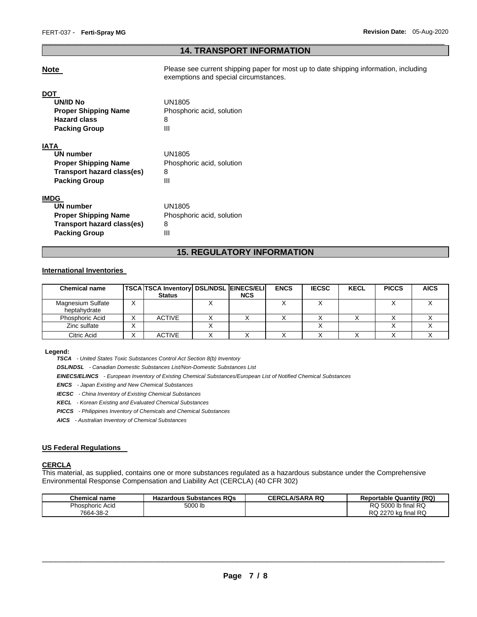# \_\_\_\_\_\_\_\_\_\_\_\_\_\_\_\_\_\_\_\_\_\_\_\_\_\_\_\_\_\_\_\_\_\_\_\_\_\_\_\_\_\_\_\_\_\_\_\_\_\_\_\_\_\_\_\_\_\_\_\_\_\_\_\_\_\_\_\_\_\_\_\_\_\_\_\_\_\_\_\_\_\_\_\_\_\_\_\_\_\_\_\_\_ **14. TRANSPORT INFORMATION**

**Note** Please see current shipping paper for most up to date shipping information, including exemptions and special circumstances.

# **DOT**

| <b>UN/ID No</b><br><b>Proper Shipping Name</b><br><b>Hazard class</b><br><b>Packing Group</b>                 | UN1805<br>Phosphoric acid, solution<br>8<br>Ш |
|---------------------------------------------------------------------------------------------------------------|-----------------------------------------------|
| IATA<br>UN number<br><b>Proper Shipping Name</b><br>Transport hazard class(es)<br><b>Packing Group</b>        | UN1805<br>Phosphoric acid, solution<br>8<br>Ш |
| IMDG<br><b>UN number</b><br><b>Proper Shipping Name</b><br>Transport hazard class(es)<br><b>Packing Group</b> | UN1805<br>Phosphoric acid, solution<br>8<br>Ш |

# **15. REGULATORY INFORMATION**

# **International Inventories**

| <b>Chemical name</b>              | <b>TSCA TSCA Inventory DSL/NDSL EINECS/ELI</b><br><b>Status</b> | <b>NCS</b> | <b>ENCS</b> | <b>IECSC</b> | <b>KECL</b> | <b>PICCS</b> | <b>AICS</b> |
|-----------------------------------|-----------------------------------------------------------------|------------|-------------|--------------|-------------|--------------|-------------|
| Magnesium Sulfate<br>heptahydrate |                                                                 |            |             |              |             |              |             |
| Phosphoric Acid                   | <b>ACTIVE</b>                                                   |            |             |              |             |              |             |
| Zinc sulfate                      |                                                                 |            |             |              |             |              |             |
| Citric Acid                       | <b>ACTIVE</b>                                                   |            |             |              |             |              |             |

#### **Legend:**

*TSCA - United States Toxic Substances Control Act Section 8(b) Inventory* 

*DSL/NDSL - Canadian Domestic Substances List/Non-Domestic Substances List* 

*EINECS/ELINCS - European Inventory of Existing Chemical Substances/European List of Notified Chemical Substances* 

*ENCS - Japan Existing and New Chemical Substances* 

*IECSC - China Inventory of Existing Chemical Substances* 

*KECL - Korean Existing and Evaluated Chemical Substances* 

*PICCS - Philippines Inventory of Chemicals and Chemical Substances* 

*AICS - Australian Inventory of Chemical Substances* 

# **US Federal Regulations**

# **CERCLA**

This material, as supplied, contains one or more substances regulated as a hazardous substance under the Comprehensive Environmental Response Compensation and Liability Act (CERCLA) (40 CFR 302)

| <b>Chemical name</b> | <b>Hazardous Substances RQs</b> | <b>CERCLA/SARA RQ</b> | <b>Reportable Quantity (RQ)</b> |
|----------------------|---------------------------------|-----------------------|---------------------------------|
| Phosphoric Acid      | 5000 lb                         |                       | RQ 5000 lb final RQ             |
| 7664-38-2            |                                 |                       | RQ 2270 kg final RQ             |